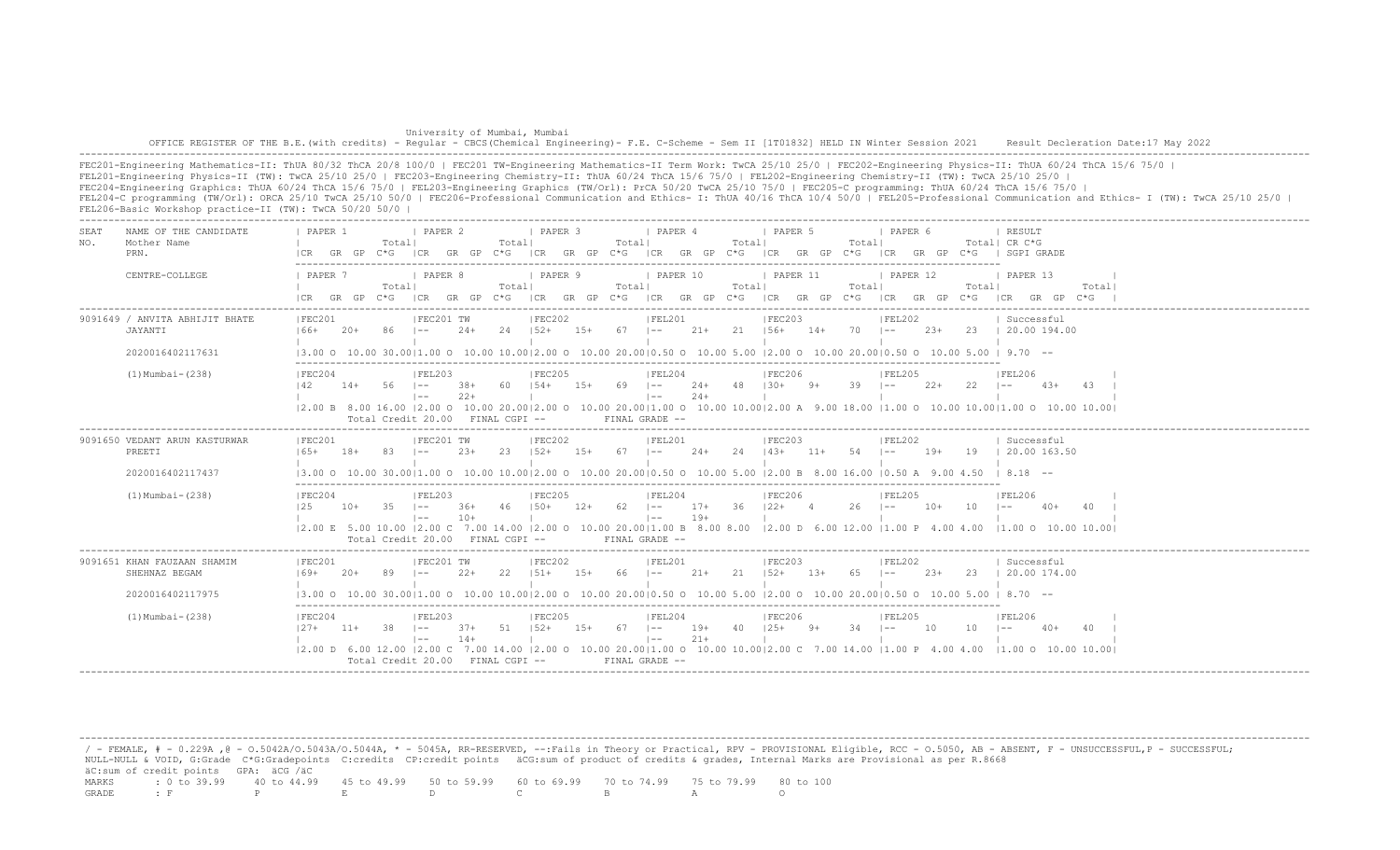| University of Mumbai, Mumbai                                                                                                                                                          |  |
|---------------------------------------------------------------------------------------------------------------------------------------------------------------------------------------|--|
| OFFICE REGISTER OF THE B.E. (with credits) - Reqular - CBCS (Chemical Engineering) - F.E. C-Scheme - Sem II [1T01832] HELD IN Winter Session 2021 Result Decleration Date:17 May 2022 |  |
|                                                                                                                                                                                       |  |

FEC201-Engineering Mathematics-II: ThUA 80/32 ThCA 20/8 100/0 | FEC201 TW-Engineering Mathematics-II Term Work: TwCA 25/10 25/0 | FEC202-Engineering Physics-II: ThUA 60/24 ThCA 15/6 75/0 | FEL201-Engineering Physics-II (TW): TwCA 25/10 25/0 | FEC203-Engineering Chemistry-II: ThUA 60/24 ThCA 15/6 75/0 | FEL202-Engineering Chemistry-II (TW): TwCA 25/10 25/0 | FEC204-Engineering Graphics: ThUA 60/24 ThCA 15/6 75/0 | FEL203-Engineering Graphics (TW/Orl): PrCA 50/20 TwCA 25/10 75/0 | FEC205-C programming: ThUA 60/24 ThCA 15/6 75/0 | FEL204-C programming (TW/Orl): ORCA 25/10 TwCA 25/10 50/0 | FEC206-Professional Communication and Ethics- I: ThUA 40/16 ThCA 10/4 50/0 | FEL205-Professional Communication and Ethics- I (TW): TwCA 25/10 25/0 | FEL206-Basic Workshop practice-II (TW): TwCA 50/20 50/0 |

| SEA.<br>NO. | NAME OF THE CANDIDATE<br>Mother Name<br>PRN.                     | PAPER 1<br>GR GP<br>I CR                                                                                                              |                | <b>I PAPER 2</b><br>Totall<br>C*G ICR GR GP C*G                       |               | Totall  | <b>I PAPER 3</b>            | Totall             | <i>I</i> PAPER 4<br>ICR GR GP C*G ICR GR GP C*G ICR GR GP C*G                       |                  | Totall | I PAPER 5                            |               | Totall      | PAPER 6                      |        |              | RESULT<br>Total  CR C*G<br>ICR GR GP C*G I SGPI GRADE                                                                                                                                                                                              |       |
|-------------|------------------------------------------------------------------|---------------------------------------------------------------------------------------------------------------------------------------|----------------|-----------------------------------------------------------------------|---------------|---------|-----------------------------|--------------------|-------------------------------------------------------------------------------------|------------------|--------|--------------------------------------|---------------|-------------|------------------------------|--------|--------------|----------------------------------------------------------------------------------------------------------------------------------------------------------------------------------------------------------------------------------------------------|-------|
|             | CENTRE-COLLEGE                                                   | 1 PAPER 7<br>$ICR$ $GR$ $GP$ $C*G$                                                                                                    |                | I PAPER 8<br>Totall                                                   |               | Totall  | <i>I</i> PAPER 9            | Totall             | 1 PAPER 10<br>ICR GR GP C*G ICR GR GP C*G ICR GR GP C*G ICR GR GP C*G ICR GR GP C*G |                  | Totall | 1 PAPER 11                           |               | Total       | 1 PAPER 12                   |        | Total        | 1 PAPER 13<br>ICR GR GP C*G                                                                                                                                                                                                                        | Total |
|             | 9091649 / ANVITA ABHIJIT BHATE<br>JAYANTI<br>2020016402117631    | IFEC201<br>166+                                                                                                                       | - 86 -<br>-20+ | IFEC201 TW<br>$ -$                                                    | $24+$         | 24 152+ | IFEC202                     | $15+ 67$ $1--$     | IFEL201                                                                             | $21+$ 21 $156+$  |        | IFEC203                              | $14+70$ $1--$ |             | FEL202                       |        |              | Successful<br>23+ 23   20.00 194.00<br>$(3.00 \t 0 \t 10.00 \t 30.00 \t 11.00 \t 0 \t 10.00 \t 10.00 \t 12.00 \t 0 \t 10.00 \t 20.00 \t 0 \t 10.50 \t 0 \t 10.00 \t 5.00 \t 12.00 \t 0 \t 10.00 \t 20.00 \t 0.50 \t 0 \t 10.00 \t 5.00 \t 9.70$ -- |       |
|             | $(1)$ Mumbai - $(238)$                                           | IFEC204<br>142                                                                                                                        | $14+ 56$ $1--$ | IFEL203<br>$1 - -$<br>Total Credit 20.00 FINAL CGPI --                | 38+<br>$2.2+$ |         | IFEC205                     | 60 154+ 15+ 69 1-- | FEL204<br>$\vert - - \vert$<br>$FTNAI, GRADE =$                                     | $2.4+$           |        | IEEC206<br>$24+$ 48 $130+$ 9+ 39 I-- |               |             | IFEL205                      | 22+    | $22 - 1 = -$ | <b>IFEL206</b><br>43+<br>12.00 B 8.00 16.00 12.00 O 10.00 20.0012.00 O 10.00 20.0011.00 O 10.00 10.0012.00 A 9.00 18.00 11.00 O 10.00 10.0011.00 O 10.00 10.001                                                                                    | - 43  |
|             | 9091650 VEDANT ARUN KASTURWAR<br>PREETI<br>2020016402117437      | IFEC201<br>$165+$<br> 3.00 O 10.00 30.00 1.00 O 10.00 10.00 2.00 O 10.00 20.00 0.50 O 10.00 5.00  2.00 B 8.00 16.00  0.50 A 9.00 4.50 | $18+$          | IFEC201 TW                                                            | $2.3+$        | -23-    | IFEC202<br>$152+$<br>$1.5+$ | 67                 | IFEL201<br>$1 - -$                                                                  | $24+$            | 24     | IFEC203<br>$143+$                    | $11+$         | 54          | IFEL202<br>$1 - -$           | 19+    | 19           | Successful<br>120.00163.50<br>$18.18 - -$                                                                                                                                                                                                          |       |
|             | $(1)$ Mumbai - $(238)$                                           | IFEC204<br>125                                                                                                                        | $10+$          | IFEL203<br>$-35$ $1--$<br>$1 - -$<br>Total Credit 20.00 FINAL CGPI -- | 36+<br>$10+$  | 46      | IFEC205<br>$150+$           | $12+$              | IFEL204<br>$62$ $ -$<br>$1 - -$<br>FINAL GRADE --                                   | $17+36$<br>$19+$ |        | IFEC206<br>$122+4$                   |               | $26 \t - -$ | IFEL205                      | $10+$  | 10           | IFEL206<br>$1 - -$<br>$40+$<br> 2.00 E 5.00 10.00  2.00 C 7.00 14.00  2.00 O 10.00 20.00 1.00 B 8.00 8.00  2.00 D 6.00 12.00  1.00 P 4.00 4.00  1.00 O 10.00 10.00                                                                                 | 40    |
|             | 9091651 KHAN FAUZAAN SHAMIM<br>SHEHNAZ BEGAM<br>2020016402117975 | IFEC201<br>$169+$                                                                                                                     | 89<br>$20+$    | IFEC201 TW<br>$1 - -$                                                 | $2.2+$        | 22      | IFEC202<br>$151+$<br>$15+$  |                    | IFEL201<br>66 –                                                                     | $21+$            | 21     | IFEC203<br>$152+$                    | $13+$         | 65          | IFEL202<br>$\vert - - \vert$ | $2.3+$ | 23           | Successful<br>20.00 174.00<br>$(3.00 \t 0 \t 10.00 \t 30.00 \t 11.00 \t 0 \t 10.00 \t 10.00 \t 12.00 \t 0 \t 10.00 \t 20.00 \t 0 \t 10.50 \t 0 \t 10.00 \t 5.00 \t 12.00 \t 0 \t 10.00 \t 20.00 \t 0.50 \t 0 \t 10.00 \t 5.00 \t 8.70 - \t -$      |       |
|             | $(1)$ Mumbai - $(238)$                                           | IFEC204<br>$127+$ 11+                                                                                                                 |                | IFEL203<br>38 –<br>$\vert - -$<br>Total Credit $20.00$ FINAL CGPI $-$ | 37+<br>$14+$  | 51 152+ | FEC205<br>$15+$             |                    | FEL204<br>$67$ $ -$<br>$\vert - - \vert$<br>FINAL GRADE --                          | $19+$<br>$21+$   |        | FEC206 <br>$40 \t125+ \t9+$          |               | 34          | IFEL205<br>$1 - -$           | 10     | 10           | IFEL206<br>$40+$<br> 2.00 D 6.00 12.00  2.00 C 7.00 14.00  2.00 O 10.00 20.00 1.00 O 10.00 10.00 2.00 C 7.00 14.00  1.00 P 4.00 4.00  1.00 O 10.00 10.00                                                                                           |       |

 / - FEMALE, # - 0.229A ,@ - O.5042A/O.5043A/O.5044A, \* - 5045A, RR-RESERVED, --:Fails in Theory or Practical, RPV - PROVISIONAL Eligible, RCC - O.5050, AB - ABSENT, F - UNSUCCESSFUL,P - SUCCESSFUL; NULL-NULL & VOID, G:Grade C\*G:Gradepoints C:credits CP:credit points äCG:sum of product of credits & grades, Internal Marks are Provisional as per R.8668 äC:sum of credit points GPA: äCG /äC MARKS : 0 to 39.99 40 to 44.99 45 to 49.99 50 to 59.99 60 to 69.99 70 to 74.99 75 to 79.99 80 to 100 GRADE : F P E D C B A O

-------------------------------------------------------------------------------------------------------------------------------------------------------------------------------------------------------------------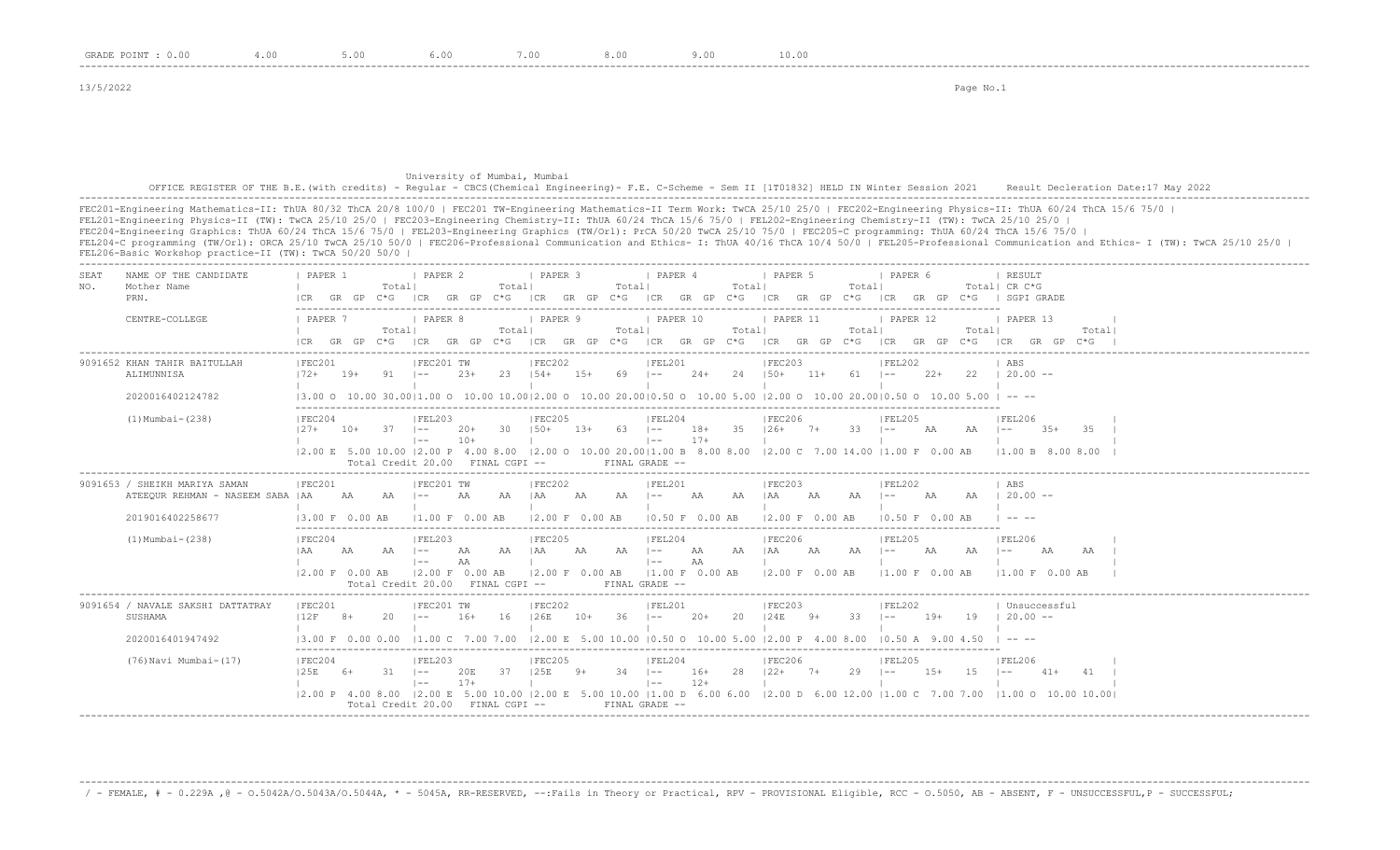13/5/2022 Page No.1

## University of Mumbai, Mumbai OFFICE REGISTER OF THE B.E.(with credits) - Regular - CBCS(Chemical Engineering)- F.E. C-Scheme - Sem II [1T01832] HELD IN Winter Session 2021 Result Decleration Date:17 May 2022 -------------------------------------------------------------------------------------------------------------------------------------------------------------------------------------------------------------------

FEC201-Engineering Mathematics-II: ThUA 80/32 ThCA 20/8 100/0 | FEC201 TW-Engineering Mathematics-II Term Work: TwCA 25/10 25/0 | FEC202-Engineering Physics-II: ThUA 60/24 ThCA 15/6 75/0 | FEL201-Engineering Physics-II (TW): TwCA 25/10 25/0 | FEC203-Engineering Chemistry-II: ThUA 60/24 ThCA 15/6 75/0 | FEL202-Engineering Chemistry-II (TW): TwCA 25/10 25/0 | FEC204-Engineering Graphics: ThUA 60/24 ThCA 15/6 75/0 | FEL203-Engineering Graphics (TW/Orl): PrCA 50/20 TwCA 25/10 75/0 | FEC205-C programming: ThUA 60/24 ThCA 15/6 75/0 | FEL204-C programming (TW/Orl): ORCA 25/10 TwCA 25/10 50/0 | FEC206-Professional Communication and Ethics- I: ThUA 40/16 ThCA 10/4 50/0 | FEL205-Professional Communication and Ethics- I (TW): TwCA 25/10 25/0 | FEL206-Basic Workshop practice-II (TW): TwCA 50/20 50/0 | -------------------------------------------------------------------------------------------------------------------------------------------------------------------------------------------------------------------

| SEAT<br>NO. | NAME OF THE CANDIDATE<br>Mother Name<br>PRN.                                           | PAPER 1<br>LCR.                                                                      |       | Totall       | <b>I PAPER 2</b>                                           |                | Totall  | I PAPER 3                              |       | Totall     | PAPER 4                                                     |                | Totall | I PAPER 5<br>GR GP C*G  CR GR GP C*G  CR GR GP C*G  CR GR GP C*G  CR GR GP C*G  CR GP C*G  CR GP C*G   SGPI GRADE                                                                              |    | Totall       | I PAPER 6                  |           |        | <b>I RESULT</b><br>Total! CR C*G                                                                                                                                                                                                                                                                                                                                                                                  |        |       |  |
|-------------|----------------------------------------------------------------------------------------|--------------------------------------------------------------------------------------|-------|--------------|------------------------------------------------------------|----------------|---------|----------------------------------------|-------|------------|-------------------------------------------------------------|----------------|--------|------------------------------------------------------------------------------------------------------------------------------------------------------------------------------------------------|----|--------------|----------------------------|-----------|--------|-------------------------------------------------------------------------------------------------------------------------------------------------------------------------------------------------------------------------------------------------------------------------------------------------------------------------------------------------------------------------------------------------------------------|--------|-------|--|
|             | CENTRE-COLLEGE                                                                         | <b>I PAPER 7</b>                                                                     |       | Totall       | PAPER 8                                                    |                | Totall  | PAPER 9                                |       | Totall     | PAPER 10                                                    |                | Totall | PAPER 11<br>ICR GR GP C*G ICR GR GP C*G ICR GR GP C*G ICR GR GP C*G ICR GR GP C*G ICR GR GP C*G ICR GP C*G ICR GR GP C*G                                                                       |    | Totall       | PAPER 12                   |           | Totall | PAPER 13                                                                                                                                                                                                                                                                                                                                                                                                          |        | Total |  |
|             | 9091652 KHAN TAHIR BAITULLAH<br>ALIMUNNISA<br>2020016402124782                         | IFEC201<br>$172+$ 19+                                                                |       | 91 –         | IFEC201 TW                                                 | $2.3+$         |         | IFEC202<br>23 154+ 15+                 |       | $69$ $1--$ | IFEL201                                                     |                |        | IFEC203<br>24+ 24 150+ 11+ 61 1-- 22+<br>$13.00$ O $10.00$ $30.0011.00$ O $10.00$ $10.0012.00$ O $10.00$ $20.0010.50$ O $10.00$ $5.00$ $12.00$ O $10.00$ $20.0010.50$ O $10.00$ $5.00$ $1 - -$ |    |              | IFEL202                    |           |        | l ABS<br>$22 \t120.00 -$                                                                                                                                                                                                                                                                                                                                                                                          |        |       |  |
|             | $(1)$ Mumbai - $(238)$                                                                 | IFEC204<br>$127 +$                                                                   | $10+$ | $37 - 1 = -$ | IFEL203<br>$1 - -$<br>Total Credit 20.00 FINAL CGPI --     | $20+$<br>$10+$ | 30 150+ | IFEC205                                | 13+   | $63$ $1--$ | IFEL204<br>$\vert - - \vert$<br>FINAL GRADE --              | 18+<br>$17+$   |        | <b>IFEC206</b><br>35 126+ 7+<br> 2.00 E 5.00 10.00  2.00 P 4.00 8.00  2.00 O 10.00 20.00 1.00 B 8.00 8.00  2.00 C 7.00 14.00  1.00 F 0.00 AB                                                   |    | $33 - 1 = -$ | IFEL205                    | AA        | AA     | <b>IFEL206</b><br>$1 - -$<br>11.00 B 8.00 8.00                                                                                                                                                                                                                                                                                                                                                                    | $3.5+$ | -35   |  |
|             | 9091653 / SHEIKH MARIYA SAMAN<br>ATEEQUR REHMAN - NASEEM SABA   AA<br>2019016402258677 | FEC201<br>$13.00 F$ 0.00 AB                                                          | AA    | $AA$ $I --$  | FEC201 TW<br>11.00 F 0.00 AB                               | <b>AA</b>      | AA IAA  | FEC202<br><b>AA</b><br>12.00 F 0.00 AB |       | $AA$ $I=-$ | FEL201<br>10.50 F 0.00 AB                                   | <b>AA</b>      | AA     | FEC203<br>iaa aa<br>12.00 F 0.00 AB                                                                                                                                                            |    | $AA$ $ --$   | FEL202<br>10.50 F 0.00 AB  | <b>AA</b> | AA     | ABS<br>$120.00 -$<br>$\frac{1}{2} \frac{1}{2} \frac{1}{2} \frac{1}{2} \frac{1}{2} \frac{1}{2} \frac{1}{2} \frac{1}{2} \frac{1}{2} \frac{1}{2} \frac{1}{2} \frac{1}{2} \frac{1}{2} \frac{1}{2} \frac{1}{2} \frac{1}{2} \frac{1}{2} \frac{1}{2} \frac{1}{2} \frac{1}{2} \frac{1}{2} \frac{1}{2} \frac{1}{2} \frac{1}{2} \frac{1}{2} \frac{1}{2} \frac{1}{2} \frac{1}{2} \frac{1}{2} \frac{1}{2} \frac{1}{2} \frac{$ |        |       |  |
|             | $(1)$ Mumbai - $(238)$                                                                 | IFEC204<br>  AA<br>$ 2.00 \text{ F} 0.00 \text{ AB}  2.00 \text{ F} 0.00 \text{ AB}$ | AA    | - AA 1--     | IFEL203<br>$\vert$ $-$<br>Total Credit 20.00 FINAL CGPI -- | AA<br>AA       | AA IAA  | IFEC205<br>$ 2.00 \tF 0.00 \tAB$       | AA    | AA 1--     | IFEL204<br>$\vert - -$<br> 1.00 F 0.00 AB<br>FINAL GRADE -- | AA<br>AA       | aa iaa | IFEC206<br> 2.00 F 0.00 AB                                                                                                                                                                     | AA | AA 1--       | IFEL205<br> 1.00 F 0.00 AB | AA        | AA     | <b>IFEL206</b><br>$\vert - - \vert$<br>11.00 F 0.00 AB                                                                                                                                                                                                                                                                                                                                                            | AA     | AA    |  |
|             | 9091654 / NAVALE SAKSHI DATTATRAY<br>SUSHAMA<br>2020016401947492                       | FEC201<br>12F                                                                        | $8+$  | $20 -$       | FEC201 TW<br>$\vert - -$                                   | $16+$          | 16      | FEC202<br>126E                         | $10+$ | $36$ $1--$ | FEL201                                                      | $20+$          | 20     | FEC203<br>$124E$ 9+<br>13.00 F 0.00 0.00 11.00 C 7.00 7.00 12.00 E 5.00 10.00 10.50 O 10.00 5.00 12.00 P 4.00 8.00 10.50 A 9.00 4.50                                                           |    | $33 - 1 -$   | FEL202                     | $19+$     | 19     | Unsuccessful<br>$120.00 -$                                                                                                                                                                                                                                                                                                                                                                                        |        |       |  |
|             | (76) Navi Mumbai-(17)                                                                  | IFEC204<br>125E                                                                      | - 6+  | $31 - 1 -$   | IFEL203<br>$1 - -$<br>Total Credit 20.00 FINAL CGPI --     | 20E<br>$17+$   | 37      | IFEC205<br>125E                        | $9+$  | $34$ $ -$  | IFEL204<br>$\vert - -$<br>FINAL GRADE --                    | $16+$<br>$12+$ |        | IFEC206<br>$28$ $122+$ $7+$<br> 2.00 P 4.00 8.00  2.00 E 5.00 10.00  2.00 E 5.00 10.00  1.00 D 6.00 6.00  2.00 D 6.00 12.00  1.00 C 7.00 7.00  1.00 O 10.00 10.00                              |    | $29 - 1 - -$ | IFEL205                    | $1.5+$    | 15     | IFEL206<br>$1 - -$                                                                                                                                                                                                                                                                                                                                                                                                | $41+$  | 41    |  |

-------------------------------------------------------------------------------------------------------------------------------------------------------------------------------------------------------------------